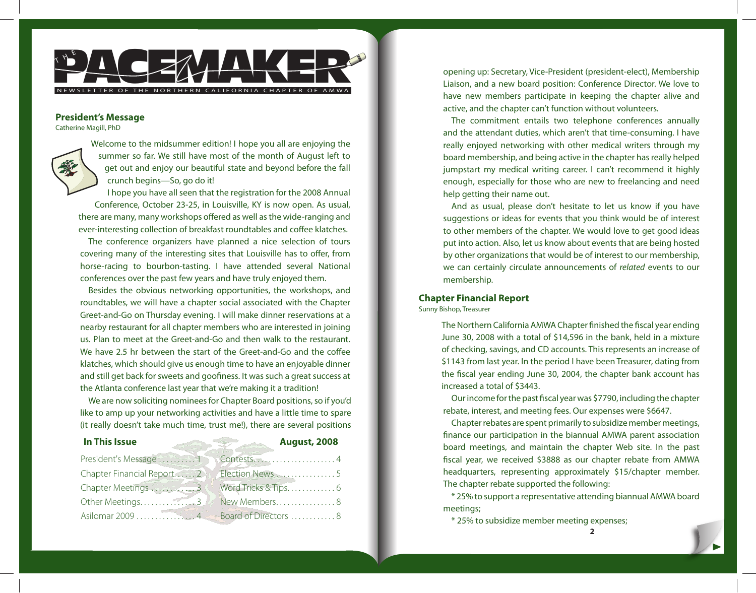

#### **President's Message**

Catherine Magill, PhD



Welcome to the midsummer edition! I hope you all are enjoying the summer so far. We still have most of the month of August left to get out and enjoy our beautiful state and beyond before the fall crunch begins—So, go do it!

I hope you have all seen that the registration for the 2008 Annual Conference, October 23-25, in Louisville, KY is now open. As usual, there are many, many workshops offered as well as the wide-ranging and ever-interesting collection of breakfast roundtables and coffee klatches.

The conference organizers have planned a nice selection of tours covering many of the interesting sites that Louisville has to offer, from horse-racing to bourbon-tasting. I have attended several National conferences over the past few years and have truly enjoyed them.

Besides the obvious networking opportunities, the workshops, and roundtables, we will have a chapter social associated with the Chapter Greet-and-Go on Thursday evening. I will make dinner reservations at a nearby restaurant for all chapter members who are interested in joining us. Plan to meet at the Greet-and-Go and then walk to the restaurant. We have 2.5 hr between the start of the Greet-and-Go and the coffee klatches, which should give us enough time to have an enjoyable dinner and still get back for sweets and goofiness. It was such a great success at the Atlanta conference last year that we're making it a tradition!

We are now soliciting nominees for Chapter Board positions, so if you'd like to amp up your networking activities and have a little time to spare (it really doesn't take much time, trust me!), there are several positions

| In This Issue       | <b>August, 2008</b><br>æ                    |
|---------------------|---------------------------------------------|
| President's Message |                                             |
|                     | Chapter Financial Report 22 A Election News |
|                     | Chapter Meetings 3 Word Tricks & Tips 6     |
| Other Meetings      | New Members8                                |
|                     |                                             |

opening up: Secretary, Vice-President (president-elect), Membership Liaison, and a new board position: Conference Director. We love to have new members participate in keeping the chapter alive and active, and the chapter can't function without volunteers.

The commitment entails two telephone conferences annually and the attendant duties, which aren't that time-consuming. I have really enjoyed networking with other medical writers through my board membership, and being active in the chapter has really helped jumpstart my medical writing career. I can't recommend it highly enough, especially for those who are new to freelancing and need help getting their name out.

And as usual, please don't hesitate to let us know if you have suggestions or ideas for events that you think would be of interest to other members of the chapter. We would love to get good ideas put into action. Also, let us know about events that are being hosted by other organizations that would be of interest to our membership, we can certainly circulate announcements of related events to our membership.

## **Chapter Financial Report**

Sunny Bishop, Treasurer

The Northern California AMWA Chapter finished the fiscal year ending June 30, 2008 with a total of \$14,596 in the bank, held in a mixture of checking, savings, and CD accounts. This represents an increase of \$1143 from last year. In the period I have been Treasurer, dating from the fiscal year ending June 30, 2004, the chapter bank account has increased a total of \$3443.

Our income for the past fiscal year was \$7790, including the chapter rebate, interest, and meeting fees. Our expenses were \$6647.

Chapter rebates are spent primarily to subsidize member meetings, finance our participation in the biannual AMWA parent association board meetings, and maintain the chapter Web site. In the past fiscal year, we received \$3888 as our chapter rebate from AMWA headquarters, representing approximately \$15/chapter member. The chapter rebate supported the following:

\* 25% to support a representative attending biannual AMWA board meetings;

\* 25% to subsidize member meeting expenses;

**2**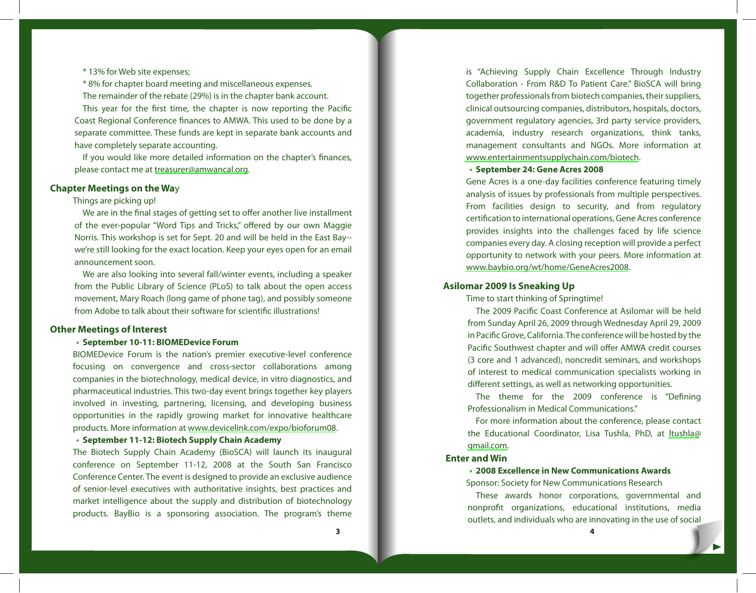\* 13% for Web site expenses;

\* 8% for chapter board meeting and miscellaneous expenses. The remainder of the rebate (29%) is in the chapter bank account.

This year for the first time, the chapter is now reporting the Pacific Coast Regional Conference finances to AMWA. This used to be done by a separate committee. These funds are kept in separate bank accounts and have completely separate accounting.

If you would like more detailed information on the chapter's finances, please contact me at treasurer@amwancal.org.

# **Chapter Meetings on the Wa**y

### Things are picking up!

We are in the final stages of getting set to offer another live installment of the ever-popular "Word Tips and Tricks," offered by our own Maggie Norris. This workshop is set for Sept. 20 and will be held in the East Bay- we're still looking for the exact location. Keep your eyes open for an email announcement soon.

We are also looking into several fall/winter events, including a speaker from the Public Library of Science (PLoS) to talk about the open access movement, Mary Roach (long [game of phone tag\), and possibly some](www.devicelink.com/expo/bioforum08)one from Adobe to talk about their software for scientific illustrations!

# **Other Meetings of Interest**

## **September 10-11: BIOMEDevice Forum •**

BIOMEDevice Forum is the nation's premier executive-level conference focusing on convergence and cross-sector collaborations among companies in the biotechnology, medical device, in vitro diagnostics, and pharmaceutical industries. This two-day event brings together key players involved in investing, partnering, licensing, and developing business opportunities in the rapidly growing market for innovative healthcare products. More information at www.devicelink.com/expo/bioforum08.

#### **September 11-12: Biotech Supply Chain Academy •**

The Biotech Supply Chain Academy (BioSCA) will launch its inaugural conference on September 11-12, 2008 at the South San Francisco Conference Center. The event is designed to provide an exclusive audience of senior-level executives with authoritative insights, best practices and market intelligence about the supply and distribution of biotechnology products. BayBio is a sponsoring association. The program's theme

is "Achieving Supply Collaboration - From R together professionals f clinical outsourcing con government regulatory academia, industry r management consulta www.entertainmentsup

**•** September 24: Gene Gene Acres is a one-da analysis of issues by pro From facilities design certification to internati provides insights into companies every day. A opportunity to network www.baybio.org/wt/ho

## **Asilomar 2009 Is Sneakin**

Time to start thinking of The 2009 Pacific Coa [from Sunda](mailto:ltushla@gmail.com)y April 26, 2 in Pacific Grove, Califorr Pacific Southwest chap  $(3 \text{ core and } 1 \text{ advance})$ of interest to medical different settings, as we The theme for t Professionalism in Med

For more information the Educational Coord gmail.com.

# **Enter and Win**

**• 2008 Excellence in N** Sponsor: Society for New These awards hon nonprofit organizatio outlets, and individuals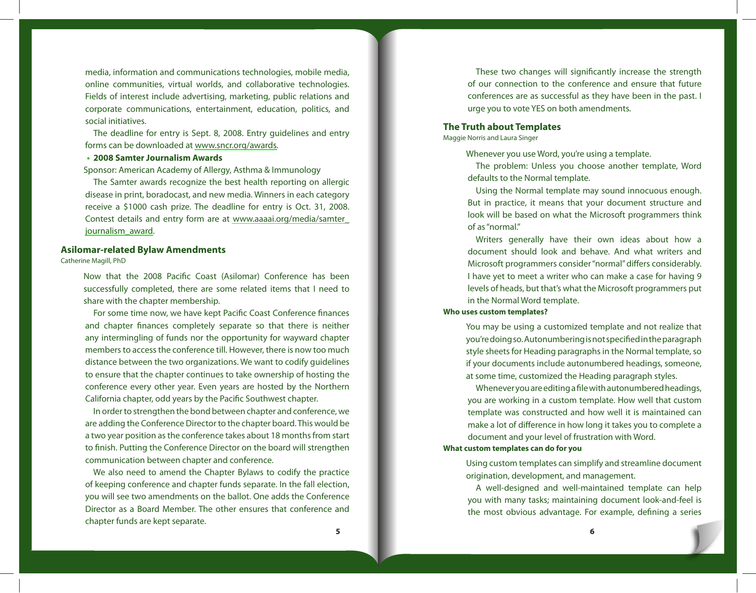media, information and communications technologies, mobile media, online communities, virtual worlds, and collaborative technologies. Fields of interest include advertising, [marketing, public relations and]( www.aaaai.org/media/samter_journalism_award) [corporate commu]( www.aaaai.org/media/samter_journalism_award)nications, entertainment, education, politics, and social initiatives.

The deadline for entry is Sept. 8, 2008. Entry guidelines and entry forms can be downloaded at www.sncr.org/awards.

#### **2008 Samter Journalism Awards •**

Sponsor: American Academy of Allergy, Asthma & Immunology

The Samter awards recognize the best health reporting on allergic disease in print, boradocast, and new media. Winners in each category receive a \$1000 cash prize. The deadline for entry is Oct. 31, 2008. Contest details and entry form are at www.aaaai.org/media/samter\_ journalism\_award.

#### **Asilomar-related Bylaw Amendments**

Catherine Magill, PhD

Now that the 2008 Pacific Coast (Asilomar) Conference has been successfully completed, there are some related items that I need to share with the chapter membership.

For some time now, we have kept Pacific Coast Conference finances and chapter finances completely separate so that there is neither any intermingling of funds nor the opportunity for wayward chapter members to access the conference till. However, there is now too much distance between the two organizations. We want to codify guidelines to ensure that the chapter continues to take ownership of hosting the conference every other year. Even years are hosted by the Northern California chapter, odd years by the Pacific Southwest chapter.

In order to strengthen the bond between chapter and conference, we are adding the Conference Director to the chapter board. This would be a two year position as the conference takes about 18 months from start to finish. Putting the Conference Director on the board will strengthen communication between chapter and conference.

We also need to amend the Chapter Bylaws to codify the practice of keeping conference and chapter funds separate. In the fall election, you will see two amendments on the ballot. One adds the Conference Director as a Board Member. The other ensures that conference and chapter funds are kept separate.

These two changes of our connection to t conferences are as sucurge you to vote YES or

#### **The Truth about Templates**

Maggie Norris and Laura Singer

Whenever you use Word The problem: Unless defaults to the Normal Using the Normal term But in practice, it mea look will be based on v of as "normal."

Writers generally h document should look Microsoft programmer: I have yet to meet a wite levels of heads, but that in the Normal Word ten **Who uses custom templates?**

> You may be using a cust you're doing so. Autonur style sheets for Heading if your documents inclu at some time, customize Whenever you are edit you are working in a custom template. template was constructed

make a lot of difference document and your lev **What custom templates can do** 

> Using custom templates origination, developme A well-designed and you with many tasks; n the most obvious adva